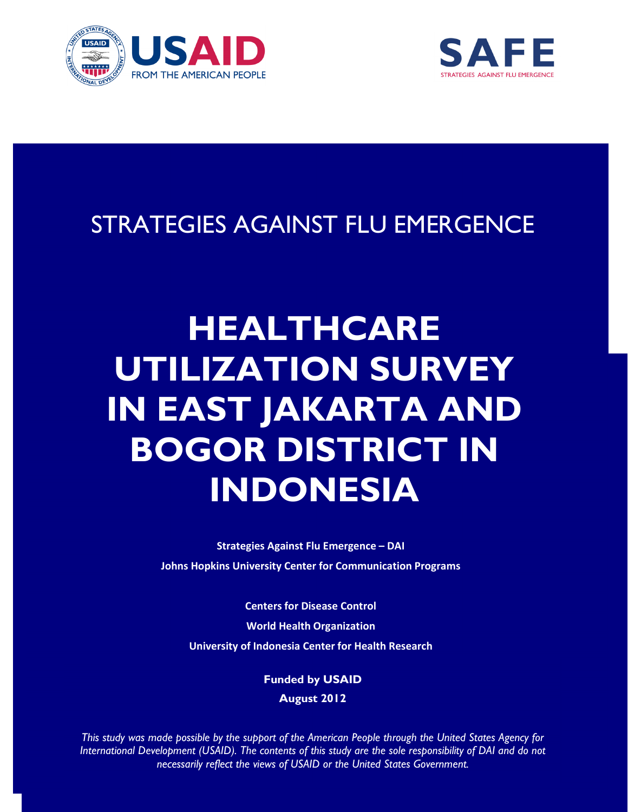



# STRATEGIES AGAINST FLU EMERGENCE

# HEALTHCARE UTILIZATION SURVEY IN EAST JAKARTA AND BOGOR DISTRICT IN INDONESIA

Strategies Against Flu Emergence – DAI Johns Hopkins University Center for Communication Programs

Centers for Disease Control World Health Organization University of Indonesia Center for Health Research

> Funded by USAID August 2012

This study was made possible by the support of the American People through the United States Agency for International Development (USAID). The contents of this study are the sole responsibility of DAI and do not necessarily reflect the views of USAID or the United States Government.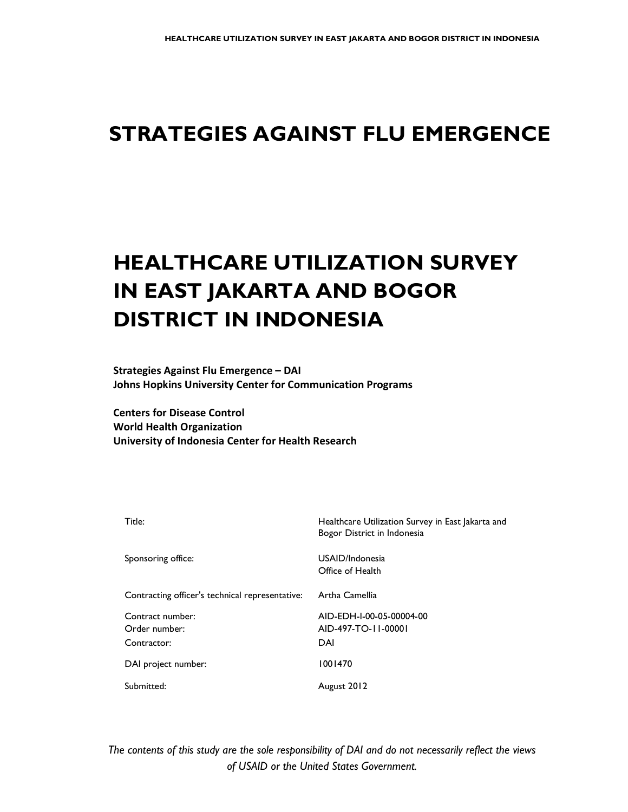# STRATEGIES AGAINST FLU EMERGENCE

# HEALTHCARE UTILIZATION SURVEY IN EAST JAKARTA AND BOGOR DISTRICT IN INDONESIA

Strategies Against Flu Emergence – DAI Johns Hopkins University Center for Communication Programs

Centers for Disease Control World Health Organization University of Indonesia Center for Health Research

| Title:                                          | Healthcare Utilization Survey in East Jakarta and<br>Bogor District in Indonesia |
|-------------------------------------------------|----------------------------------------------------------------------------------|
| Sponsoring office:                              | USAID/Indonesia<br>Office of Health                                              |
| Contracting officer's technical representative: | Artha Camellia                                                                   |
| Contract number:<br>Order number:               | AID-EDH-I-00-05-00004-00<br>AID-497-TO-11-00001                                  |
| Contractor:                                     | DAI                                                                              |
| DAI project number:                             | 1001470                                                                          |
| Submitted:                                      | August 2012                                                                      |

of USAID or the United States Government. The contents of this study are the sole responsibility of DAI and do not necessarily reflect the views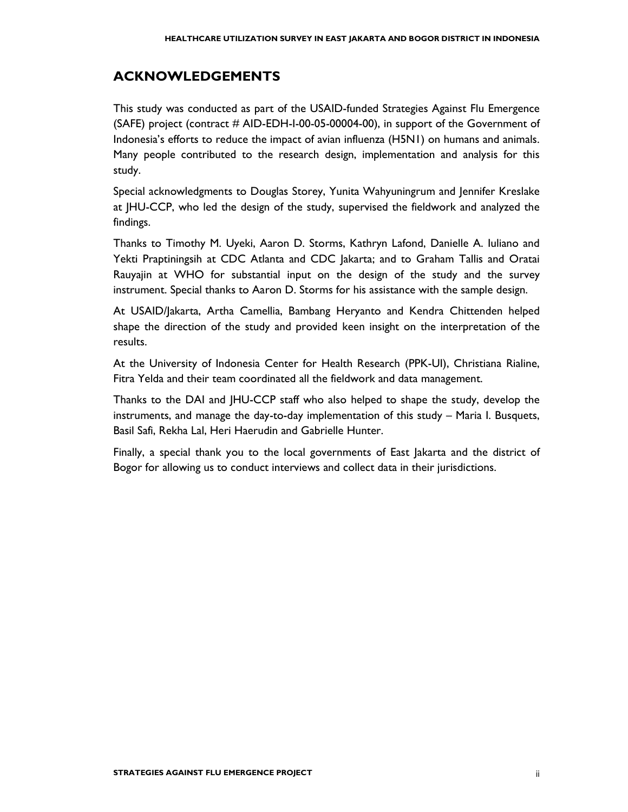# ACKNOWLEDGEMENTS

This study was conducted as part of the USAID-funded Strategies Against Flu Emergence (SAFE) project (contract # AID-EDH-I-00-05-00004-00), in support of the Government of Indonesia's efforts to reduce the impact of avian influenza (H5N1) on humans and animals. Many people contributed to the research design, implementation and analysis for this study.

Special acknowledgments to Douglas Storey, Yunita Wahyuningrum and Jennifer Kreslake at JHU-CCP, who led the design of the study, supervised the fieldwork and analyzed the findings.

Thanks to Timothy M. Uyeki, Aaron D. Storms, Kathryn Lafond, Danielle A. Iuliano and Yekti Praptiningsih at CDC Atlanta and CDC Jakarta; and to Graham Tallis and Oratai Rauyajin at WHO for substantial input on the design of the study and the survey instrument. Special thanks to Aaron D. Storms for his assistance with the sample design.

At USAID/Jakarta, Artha Camellia, Bambang Heryanto and Kendra Chittenden helped shape the direction of the study and provided keen insight on the interpretation of the results.

At the University of Indonesia Center for Health Research (PPK-UI), Christiana Rialine, Fitra Yelda and their team coordinated all the fieldwork and data management.

Thanks to the DAI and JHU-CCP staff who also helped to shape the study, develop the instruments, and manage the day-to-day implementation of this study – Maria I. Busquets, Basil Safi, Rekha Lal, Heri Haerudin and Gabrielle Hunter.

Finally, a special thank you to the local governments of East Jakarta and the district of Bogor for allowing us to conduct interviews and collect data in their jurisdictions.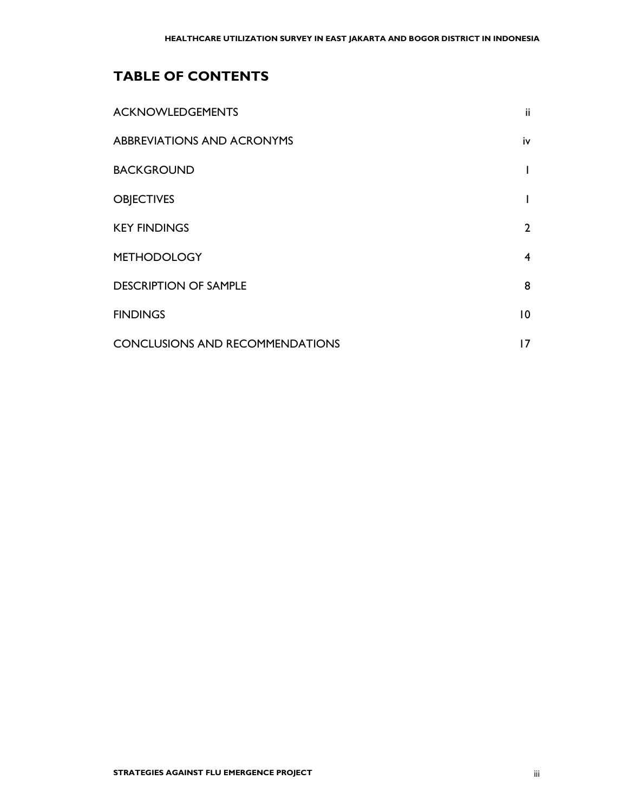# TABLE OF CONTENTS

| <b>ACKNOWLEDGEMENTS</b>                | ii              |
|----------------------------------------|-----------------|
| <b>ABBREVIATIONS AND ACRONYMS</b>      | iv              |
| <b>BACKGROUND</b>                      |                 |
| <b>OBJECTIVES</b>                      |                 |
| <b>KEY FINDINGS</b>                    | $\overline{2}$  |
| <b>METHODOLOGY</b>                     | 4               |
| <b>DESCRIPTION OF SAMPLE</b>           | 8               |
| <b>FINDINGS</b>                        | $\overline{10}$ |
| <b>CONCLUSIONS AND RECOMMENDATIONS</b> | 17              |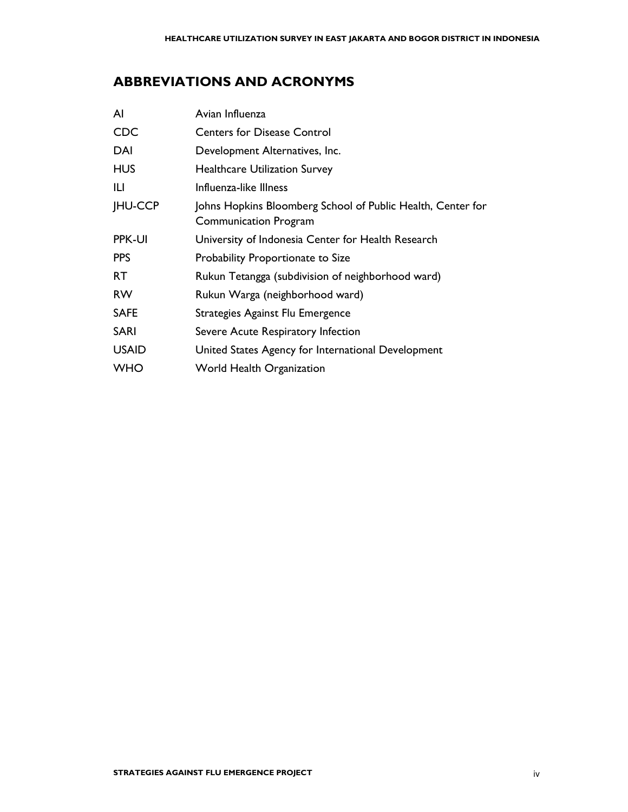# ABBREVIATIONS AND ACRONYMS

| ΑI             | Avian Influenza                                                                             |
|----------------|---------------------------------------------------------------------------------------------|
| <b>CDC</b>     | <b>Centers for Disease Control</b>                                                          |
| DAI            | Development Alternatives, Inc.                                                              |
| <b>HUS</b>     | <b>Healthcare Utilization Survey</b>                                                        |
| IЦ             | Influenza-like Illness                                                                      |
| <b>JHU-CCP</b> | Johns Hopkins Bloomberg School of Public Health, Center for<br><b>Communication Program</b> |
| <b>PPK-UI</b>  | University of Indonesia Center for Health Research                                          |
| <b>PPS</b>     | Probability Proportionate to Size                                                           |
| RT.            | Rukun Tetangga (subdivision of neighborhood ward)                                           |
| <b>RW</b>      | Rukun Warga (neighborhood ward)                                                             |
| <b>SAFE</b>    | Strategies Against Flu Emergence                                                            |
| <b>SARI</b>    | Severe Acute Respiratory Infection                                                          |
| <b>USAID</b>   | United States Agency for International Development                                          |
| <b>WHO</b>     | <b>World Health Organization</b>                                                            |
|                |                                                                                             |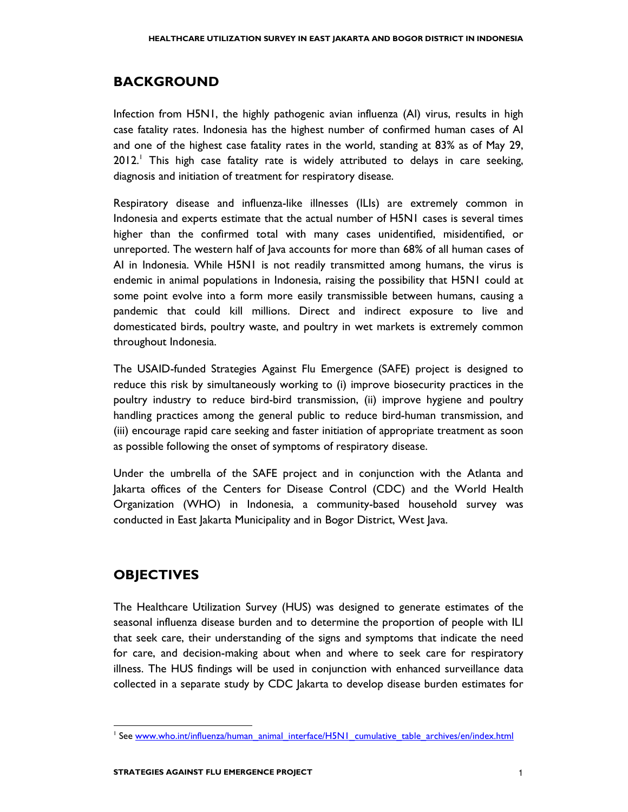## **BACKGROUND**

Infection from H5N1, the highly pathogenic avian influenza (AI) virus, results in high case fatality rates. Indonesia has the highest number of confirmed human cases of AI and one of the highest case fatality rates in the world, standing at 83% as of May 29, 2012.<sup>1</sup> This high case fatality rate is widely attributed to delays in care seeking, diagnosis and initiation of treatment for respiratory disease.

Respiratory disease and influenza-like illnesses (ILIs) are extremely common in Indonesia and experts estimate that the actual number of H5N1 cases is several times higher than the confirmed total with many cases unidentified, misidentified, or unreported. The western half of Java accounts for more than 68% of all human cases of AI in Indonesia. While H5N1 is not readily transmitted among humans, the virus is endemic in animal populations in Indonesia, raising the possibility that H5N1 could at some point evolve into a form more easily transmissible between humans, causing a pandemic that could kill millions. Direct and indirect exposure to live and domesticated birds, poultry waste, and poultry in wet markets is extremely common throughout Indonesia.

The USAID-funded Strategies Against Flu Emergence (SAFE) project is designed to reduce this risk by simultaneously working to (i) improve biosecurity practices in the poultry industry to reduce bird-bird transmission, (ii) improve hygiene and poultry handling practices among the general public to reduce bird-human transmission, and (iii) encourage rapid care seeking and faster initiation of appropriate treatment as soon as possible following the onset of symptoms of respiratory disease.

Under the umbrella of the SAFE project and in conjunction with the Atlanta and Jakarta offices of the Centers for Disease Control (CDC) and the World Health Organization (WHO) in Indonesia, a community-based household survey was conducted in East Jakarta Municipality and in Bogor District, West Java.

# **OBJECTIVES**

l

The Healthcare Utilization Survey (HUS) was designed to generate estimates of the seasonal influenza disease burden and to determine the proportion of people with ILI that seek care, their understanding of the signs and symptoms that indicate the need for care, and decision-making about when and where to seek care for respiratory illness. The HUS findings will be used in conjunction with enhanced surveillance data collected in a separate study by CDC Jakarta to develop disease burden estimates for

<sup>&</sup>lt;sup>1</sup> See www.who.int/influenza/human\_animal\_interface/H5N1\_cumulative\_table\_archives/en/index.html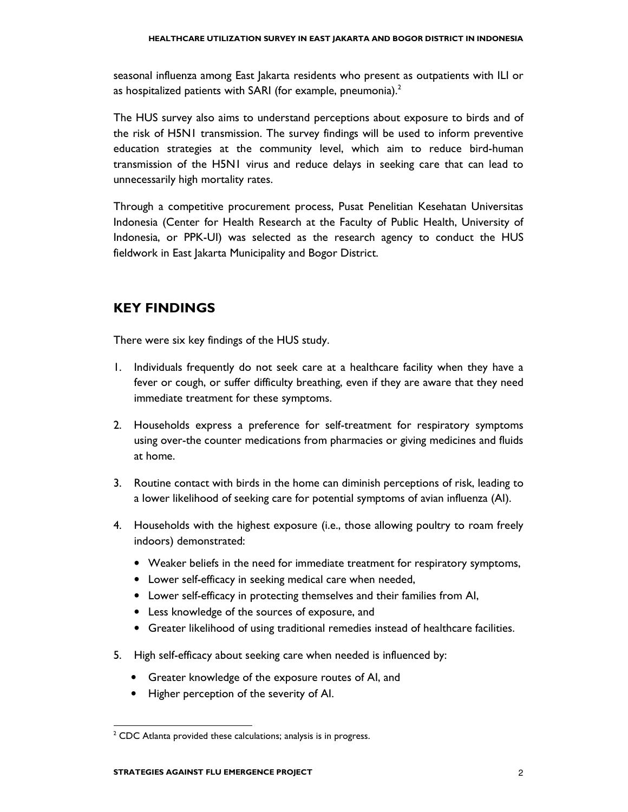seasonal influenza among East Jakarta residents who present as outpatients with ILI or as hospitalized patients with SARI (for example, pneumonia). $<sup>2</sup>$ </sup>

The HUS survey also aims to understand perceptions about exposure to birds and of the risk of H5N1 transmission. The survey findings will be used to inform preventive education strategies at the community level, which aim to reduce bird-human transmission of the H5N1 virus and reduce delays in seeking care that can lead to unnecessarily high mortality rates.

Through a competitive procurement process, Pusat Penelitian Kesehatan Universitas Indonesia (Center for Health Research at the Faculty of Public Health, University of Indonesia, or PPK-UI) was selected as the research agency to conduct the HUS fieldwork in East Jakarta Municipality and Bogor District.

### KEY FINDINGS

There were six key findings of the HUS study.

- 1. Individuals frequently do not seek care at a healthcare facility when they have a fever or cough, or suffer difficulty breathing, even if they are aware that they need immediate treatment for these symptoms.
- 2. Households express a preference for self-treatment for respiratory symptoms using over-the counter medications from pharmacies or giving medicines and fluids at home.
- 3. Routine contact with birds in the home can diminish perceptions of risk, leading to a lower likelihood of seeking care for potential symptoms of avian influenza (AI).
- 4. Households with the highest exposure (i.e., those allowing poultry to roam freely indoors) demonstrated:
	- Weaker beliefs in the need for immediate treatment for respiratory symptoms,
	- Lower self-efficacy in seeking medical care when needed,
	- Lower self-efficacy in protecting themselves and their families from AI,
	- Less knowledge of the sources of exposure, and
	- Greater likelihood of using traditional remedies instead of healthcare facilities.
- 5. High self-efficacy about seeking care when needed is influenced by:
	- Greater knowledge of the exposure routes of AI, and
	- Higher perception of the severity of AI.

l

 $2$  CDC Atlanta provided these calculations; analysis is in progress.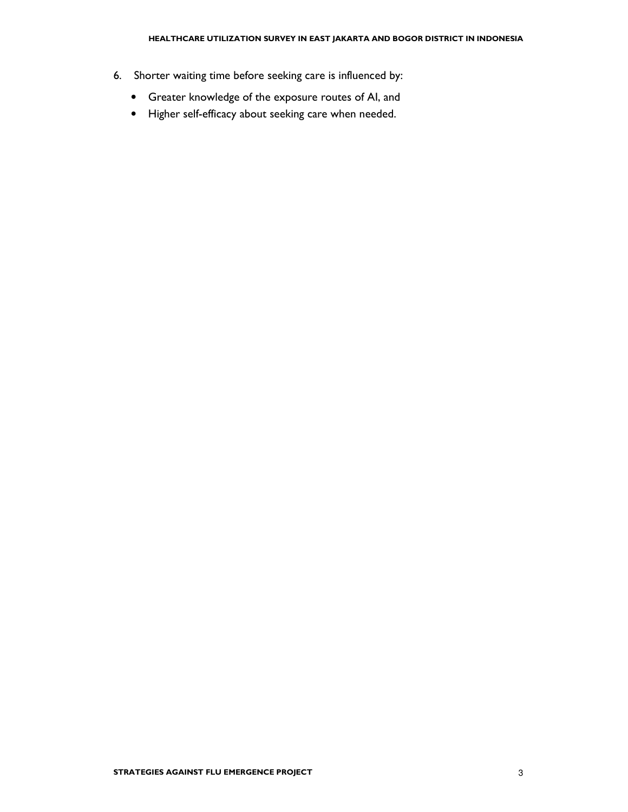- 6. Shorter waiting time before seeking care is influenced by:
	- Greater knowledge of the exposure routes of AI, and
	- Higher self-efficacy about seeking care when needed.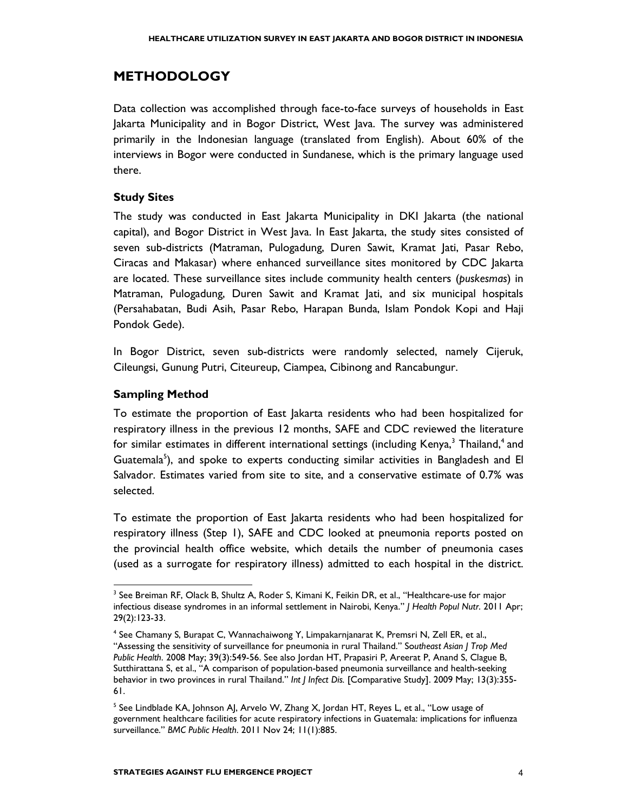# METHODOLOGY

Data collection was accomplished through face-to-face surveys of households in East Jakarta Municipality and in Bogor District, West Java. The survey was administered primarily in the Indonesian language (translated from English). About 60% of the interviews in Bogor were conducted in Sundanese, which is the primary language used there.

#### Study Sites

The study was conducted in East Jakarta Municipality in DKI Jakarta (the national capital), and Bogor District in West Java. In East Jakarta, the study sites consisted of seven sub-districts (Matraman, Pulogadung, Duren Sawit, Kramat Jati, Pasar Rebo, Ciracas and Makasar) where enhanced surveillance sites monitored by CDC Jakarta are located. These surveillance sites include community health centers (puskesmas) in Matraman, Pulogadung, Duren Sawit and Kramat Jati, and six municipal hospitals (Persahabatan, Budi Asih, Pasar Rebo, Harapan Bunda, Islam Pondok Kopi and Haji Pondok Gede).

In Bogor District, seven sub-districts were randomly selected, namely Cijeruk, Cileungsi, Gunung Putri, Citeureup, Ciampea, Cibinong and Rancabungur.

#### Sampling Method

l

To estimate the proportion of East Jakarta residents who had been hospitalized for respiratory illness in the previous 12 months, SAFE and CDC reviewed the literature for similar estimates in different international settings (including Kenya, $^3$  Thailand, $^4$  and Guatemala<sup>5</sup>), and spoke to experts conducting similar activities in Bangladesh and El Salvador. Estimates varied from site to site, and a conservative estimate of 0.7% was selected.

To estimate the proportion of East Jakarta residents who had been hospitalized for respiratory illness (Step 1), SAFE and CDC looked at pneumonia reports posted on the provincial health office website, which details the number of pneumonia cases (used as a surrogate for respiratory illness) admitted to each hospital in the district.

<sup>&</sup>lt;sup>3</sup> See Breiman RF, Olack B, Shultz A, Roder S, Kimani K, Feikin DR, et al., "Healthcare-use for major infectious disease syndromes in an informal settlement in Nairobi, Kenya." J Health Popul Nutr. 2011 Apr; 29(2):123-33.

<sup>4</sup> See Chamany S, Burapat C, Wannachaiwong Y, Limpakarnjanarat K, Premsri N, Zell ER, et al., "Assessing the sensitivity of surveillance for pneumonia in rural Thailand." Southeast Asian J Trop Med Public Health. 2008 May; 39(3):549-56. See also Jordan HT, Prapasiri P, Areerat P, Anand S, Clague B, Sutthirattana S, et al., "A comparison of population-based pneumonia surveillance and health-seeking behavior in two provinces in rural Thailand." Int J Infect Dis. [Comparative Study]. 2009 May; 13(3):355-61.

 $^5$  See Lindblade KA, Johnson AJ, Arvelo W, Zhang X, Jordan HT, Reyes L, et al., "Low usage of government healthcare facilities for acute respiratory infections in Guatemala: implications for influenza surveillance." BMC Public Health. 2011 Nov 24; 11(1):885.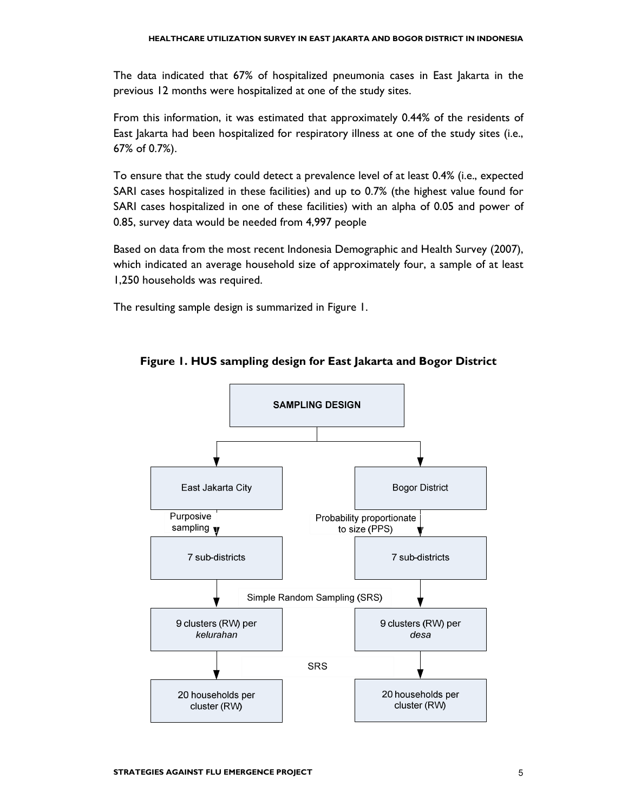The data indicated that 67% of hospitalized pneumonia cases in East Jakarta in the previous 12 months were hospitalized at one of the study sites.

From this information, it was estimated that approximately 0.44% of the residents of East Jakarta had been hospitalized for respiratory illness at one of the study sites (i.e., 67% of 0.7%).

To ensure that the study could detect a prevalence level of at least 0.4% (i.e., expected SARI cases hospitalized in these facilities) and up to 0.7% (the highest value found for SARI cases hospitalized in one of these facilities) with an alpha of 0.05 and power of 0.85, survey data would be needed from 4,997 people

Based on data from the most recent Indonesia Demographic and Health Survey (2007), which indicated an average household size of approximately four, a sample of at least 1,250 households was required.

The resulting sample design is summarized in Figure 1.



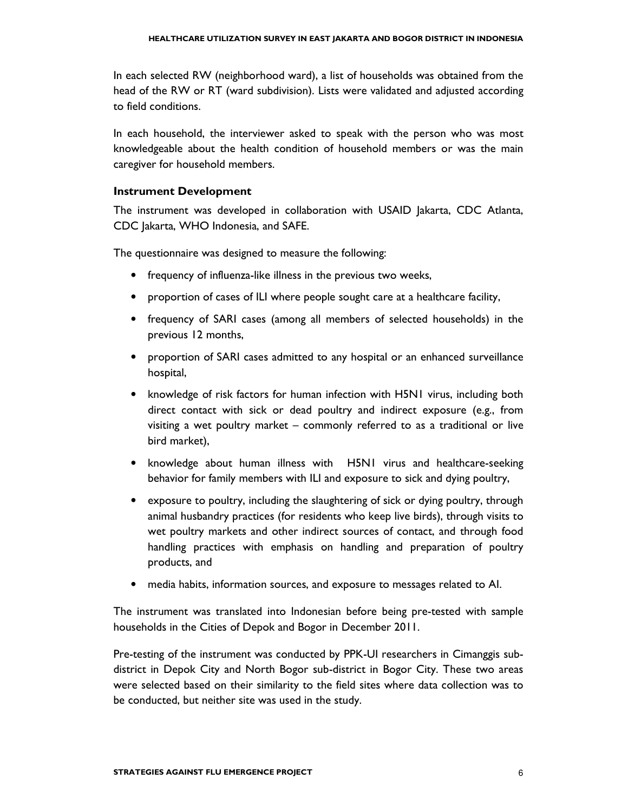In each selected RW (neighborhood ward), a list of households was obtained from the head of the RW or RT (ward subdivision). Lists were validated and adjusted according to field conditions.

In each household, the interviewer asked to speak with the person who was most knowledgeable about the health condition of household members or was the main caregiver for household members.

#### Instrument Development

The instrument was developed in collaboration with USAID Jakarta, CDC Atlanta, CDC Jakarta, WHO Indonesia, and SAFE.

The questionnaire was designed to measure the following:

- frequency of influenza-like illness in the previous two weeks,
- proportion of cases of ILI where people sought care at a healthcare facility,
- frequency of SARI cases (among all members of selected households) in the previous 12 months,
- proportion of SARI cases admitted to any hospital or an enhanced surveillance hospital,
- knowledge of risk factors for human infection with H5N1 virus, including both direct contact with sick or dead poultry and indirect exposure (e.g., from visiting a wet poultry market – commonly referred to as a traditional or live bird market),
- knowledge about human illness with H5N1 virus and healthcare-seeking behavior for family members with ILI and exposure to sick and dying poultry,
- exposure to poultry, including the slaughtering of sick or dying poultry, through animal husbandry practices (for residents who keep live birds), through visits to wet poultry markets and other indirect sources of contact, and through food handling practices with emphasis on handling and preparation of poultry products, and
- media habits, information sources, and exposure to messages related to AI.

The instrument was translated into Indonesian before being pre-tested with sample households in the Cities of Depok and Bogor in December 2011.

Pre-testing of the instrument was conducted by PPK-UI researchers in Cimanggis subdistrict in Depok City and North Bogor sub-district in Bogor City. These two areas were selected based on their similarity to the field sites where data collection was to be conducted, but neither site was used in the study.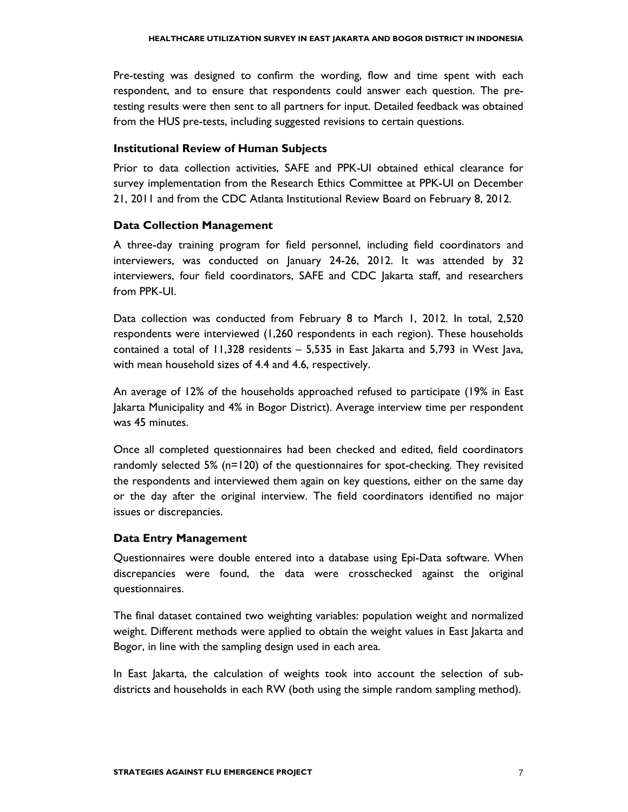Pre-testing was designed to confirm the wording, flow and time spent with each respondent, and to ensure that respondents could answer each question. The pretesting results were then sent to all partners for input. Detailed feedback was obtained from the HUS pre-tests, including suggested revisions to certain questions.

#### Institutional Review of Human Subjects

Prior to data collection activities, SAFE and PPK-UI obtained ethical clearance for survey implementation from the Research Ethics Committee at PPK-UI on December 21, 2011 and from the CDC Atlanta Institutional Review Board on February 8, 2012.

#### Data Collection Management

A three-day training program for field personnel, including field coordinators and interviewers, was conducted on January 24-26, 2012. It was attended by 32 interviewers, four field coordinators, SAFE and CDC Jakarta staff, and researchers from PPK-UI.

Data collection was conducted from February 8 to March 1, 2012. In total, 2,520 respondents were interviewed (1,260 respondents in each region). These households contained a total of 11,328 residents – 5,535 in East Jakarta and 5,793 in West Java, with mean household sizes of 4.4 and 4.6, respectively.

An average of 12% of the households approached refused to participate (19% in East Jakarta Municipality and 4% in Bogor District). Average interview time per respondent was 45 minutes.

Once all completed questionnaires had been checked and edited, field coordinators randomly selected 5% (n=120) of the questionnaires for spot-checking. They revisited the respondents and interviewed them again on key questions, either on the same day or the day after the original interview. The field coordinators identified no major issues or discrepancies.

#### Data Entry Management

Questionnaires were double entered into a database using Epi-Data software. When discrepancies were found, the data were crosschecked against the original questionnaires.

The final dataset contained two weighting variables: population weight and normalized weight. Different methods were applied to obtain the weight values in East Jakarta and Bogor, in line with the sampling design used in each area.

In East Jakarta, the calculation of weights took into account the selection of subdistricts and households in each RW (both using the simple random sampling method).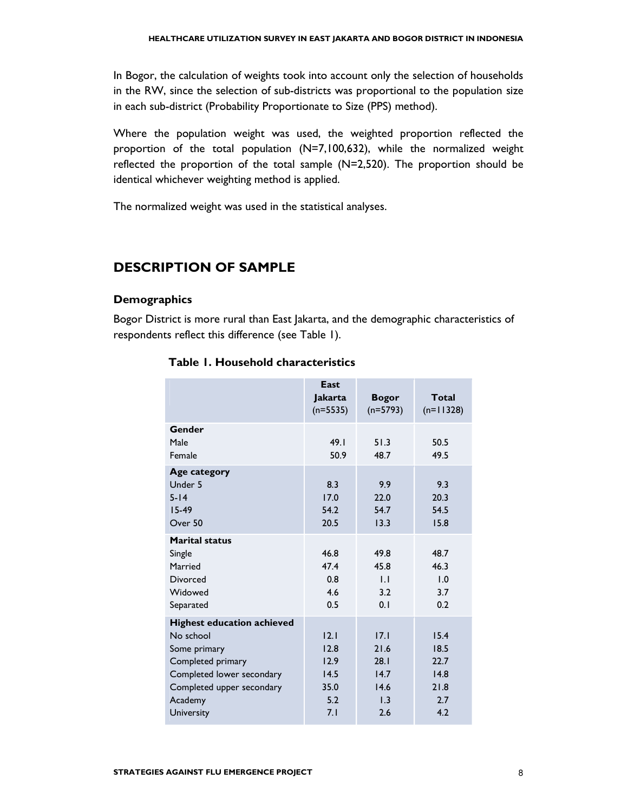In Bogor, the calculation of weights took into account only the selection of households in the RW, since the selection of sub-districts was proportional to the population size in each sub-district (Probability Proportionate to Size (PPS) method).

Where the population weight was used, the weighted proportion reflected the proportion of the total population (N=7,100,632), while the normalized weight reflected the proportion of the total sample (N=2,520). The proportion should be identical whichever weighting method is applied.

The normalized weight was used in the statistical analyses.

### DESCRIPTION OF SAMPLE

#### **Demographics**

Bogor District is more rural than East Jakarta, and the demographic characteristics of respondents reflect this difference (see Table 1).

|                                                                                                                                                          | East<br><b>Jakarta</b><br>$(n=5535)$        | <b>Bogor</b><br>$(n=5793)$                  | <b>Total</b><br>$(n=11328)$                 |
|----------------------------------------------------------------------------------------------------------------------------------------------------------|---------------------------------------------|---------------------------------------------|---------------------------------------------|
| Gender<br>Male                                                                                                                                           | 49.1                                        | 51.3                                        | 50.5                                        |
| Female                                                                                                                                                   | 50.9                                        | 48.7                                        | 49.5                                        |
| <b>Age category</b><br>Under 5<br>$5 - 14$<br>$15-49$<br>Over 50                                                                                         | 8.3<br>17.0<br>54.2<br>20.5                 | 9.9<br>22.0<br>54.7<br>13.3                 | 9.3<br>20.3<br>54.5<br>15.8                 |
| <b>Marital status</b><br>Single<br>Married<br><b>Divorced</b><br>Widowed<br>Separated                                                                    | 46.8<br>47.4<br>0.8<br>4.6<br>0.5           | 49.8<br>45.8<br>IJ<br>3.2<br>0.1            | 48.7<br>46.3<br>1.0<br>3.7<br>0.2           |
| <b>Highest education achieved</b><br>No school<br>Some primary<br>Completed primary<br>Completed lower secondary<br>Completed upper secondary<br>Academy | 12.1<br>12.8<br>12.9<br>14.5<br>35.0<br>5.2 | 17.1<br>21.6<br>28.1<br>14.7<br>14.6<br>1.3 | 15.4<br>18.5<br>22.7<br>14.8<br>21.8<br>2.7 |
| University                                                                                                                                               | 7.1                                         | 2.6                                         | 4.2                                         |

#### Table 1. Household characteristics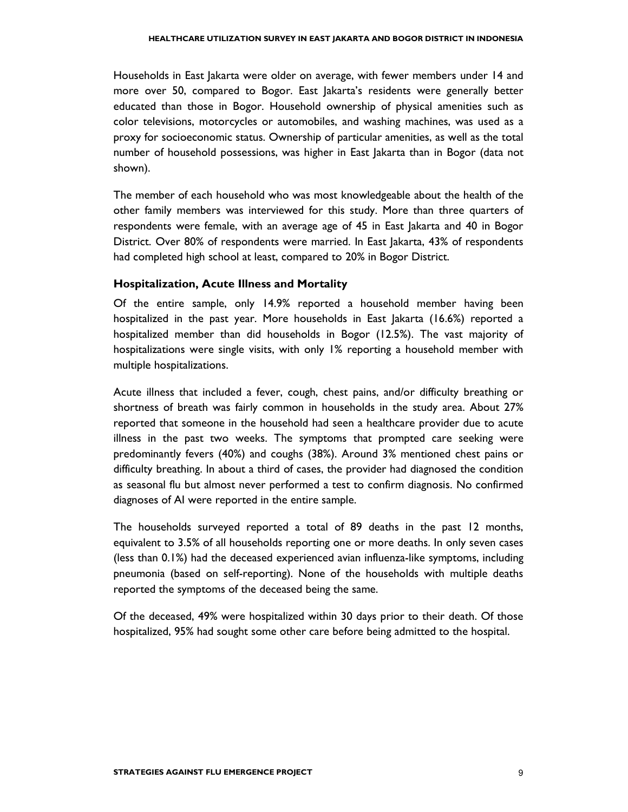Households in East Jakarta were older on average, with fewer members under 14 and more over 50, compared to Bogor. East Jakarta's residents were generally better educated than those in Bogor. Household ownership of physical amenities such as color televisions, motorcycles or automobiles, and washing machines, was used as a proxy for socioeconomic status. Ownership of particular amenities, as well as the total number of household possessions, was higher in East Jakarta than in Bogor (data not shown).

The member of each household who was most knowledgeable about the health of the other family members was interviewed for this study. More than three quarters of respondents were female, with an average age of 45 in East Jakarta and 40 in Bogor District. Over 80% of respondents were married. In East Jakarta, 43% of respondents had completed high school at least, compared to 20% in Bogor District.

#### Hospitalization, Acute Illness and Mortality

Of the entire sample, only 14.9% reported a household member having been hospitalized in the past year. More households in East Jakarta (16.6%) reported a hospitalized member than did households in Bogor (12.5%). The vast majority of hospitalizations were single visits, with only 1% reporting a household member with multiple hospitalizations.

Acute illness that included a fever, cough, chest pains, and/or difficulty breathing or shortness of breath was fairly common in households in the study area. About 27% reported that someone in the household had seen a healthcare provider due to acute illness in the past two weeks. The symptoms that prompted care seeking were predominantly fevers (40%) and coughs (38%). Around 3% mentioned chest pains or difficulty breathing. In about a third of cases, the provider had diagnosed the condition as seasonal flu but almost never performed a test to confirm diagnosis. No confirmed diagnoses of AI were reported in the entire sample.

The households surveyed reported a total of 89 deaths in the past 12 months, equivalent to 3.5% of all households reporting one or more deaths. In only seven cases (less than 0.1%) had the deceased experienced avian influenza-like symptoms, including pneumonia (based on self-reporting). None of the households with multiple deaths reported the symptoms of the deceased being the same.

Of the deceased, 49% were hospitalized within 30 days prior to their death. Of those hospitalized, 95% had sought some other care before being admitted to the hospital.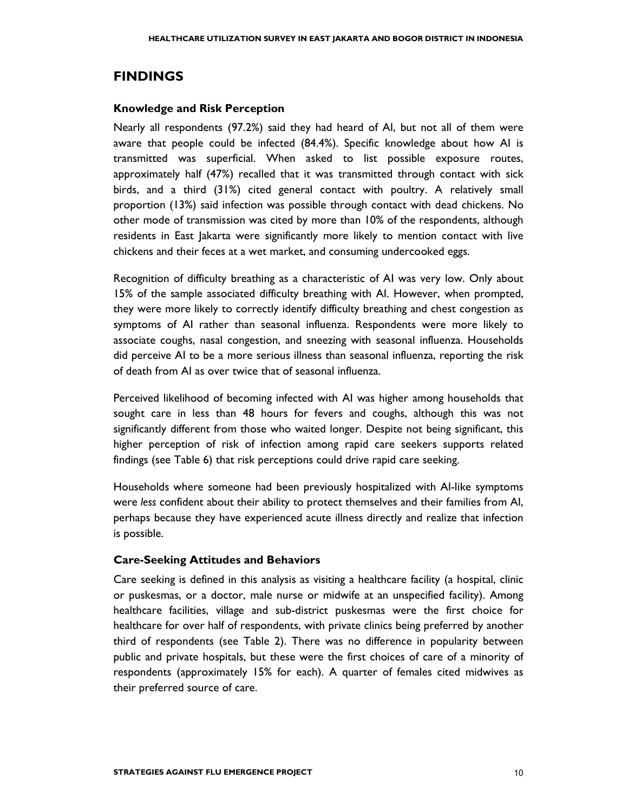### FINDINGS

#### Knowledge and Risk Perception

Nearly all respondents (97.2%) said they had heard of AI, but not all of them were aware that people could be infected (84.4%). Specific knowledge about how AI is transmitted was superficial. When asked to list possible exposure routes, approximately half (47%) recalled that it was transmitted through contact with sick birds, and a third (31%) cited general contact with poultry. A relatively small proportion (13%) said infection was possible through contact with dead chickens. No other mode of transmission was cited by more than 10% of the respondents, although residents in East Jakarta were significantly more likely to mention contact with live chickens and their feces at a wet market, and consuming undercooked eggs.

Recognition of difficulty breathing as a characteristic of AI was very low. Only about 15% of the sample associated difficulty breathing with AI. However, when prompted, they were more likely to correctly identify difficulty breathing and chest congestion as symptoms of AI rather than seasonal influenza. Respondents were more likely to associate coughs, nasal congestion, and sneezing with seasonal influenza. Households did perceive AI to be a more serious illness than seasonal influenza, reporting the risk of death from AI as over twice that of seasonal influenza.

Perceived likelihood of becoming infected with AI was higher among households that sought care in less than 48 hours for fevers and coughs, although this was not significantly different from those who waited longer. Despite not being significant, this higher perception of risk of infection among rapid care seekers supports related findings (see Table 6) that risk perceptions could drive rapid care seeking.

Households where someone had been previously hospitalized with AI-like symptoms were less confident about their ability to protect themselves and their families from AI, perhaps because they have experienced acute illness directly and realize that infection is possible.

#### Care-Seeking Attitudes and Behaviors

Care seeking is defined in this analysis as visiting a healthcare facility (a hospital, clinic or puskesmas, or a doctor, male nurse or midwife at an unspecified facility). Among healthcare facilities, village and sub-district puskesmas were the first choice for healthcare for over half of respondents, with private clinics being preferred by another third of respondents (see Table 2). There was no difference in popularity between public and private hospitals, but these were the first choices of care of a minority of respondents (approximately 15% for each). A quarter of females cited midwives as their preferred source of care.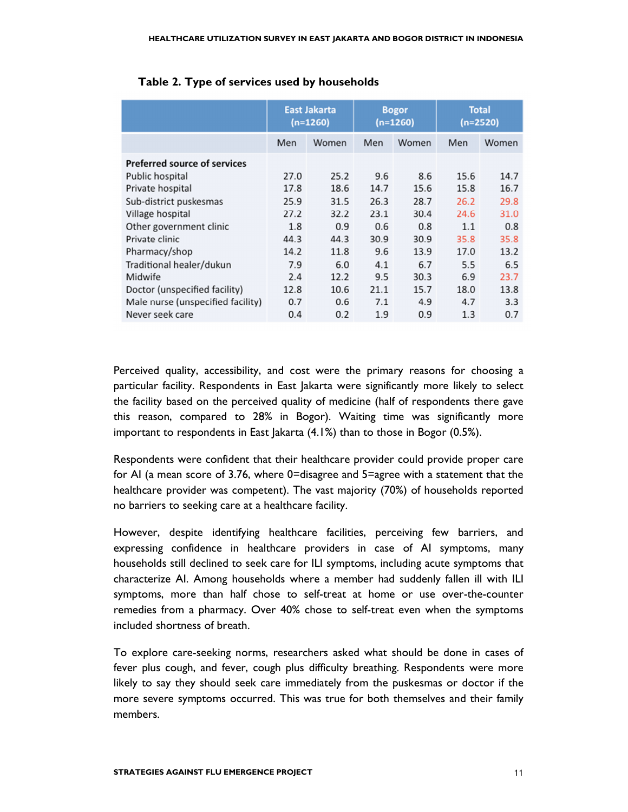|                                     | <b>East Jakarta</b><br>$(n=1260)$ |       | <b>Bogor</b><br>$(n=1260)$ |       | <b>Total</b><br>$(n=2520)$ |       |
|-------------------------------------|-----------------------------------|-------|----------------------------|-------|----------------------------|-------|
|                                     | Men                               | Women | Men                        | Women | Men                        | Women |
| <b>Preferred source of services</b> |                                   |       |                            |       |                            |       |
| Public hospital                     | 27.0                              | 25.2  | 9.6                        | 8.6   | 15.6                       | 14.7  |
| Private hospital                    | 17.8                              | 18.6  | 14.7                       | 15.6  | 15.8                       | 16.7  |
| Sub-district puskesmas              | 25.9                              | 31.5  | 26.3                       | 28.7  | 26.2                       | 29.8  |
| Village hospital                    | 27.2                              | 32.2  | 23.1                       | 30.4  | 24.6                       | 31.0  |
| Other government clinic             | 1.8                               | 0.9   | 0.6                        | 0.8   | 1.1                        | 0.8   |
| Private clinic                      | 44.3                              | 44.3  | 30.9                       | 30.9  | 35.8                       | 35.8  |
| Pharmacy/shop                       | 14.2                              | 11.8  | 9.6                        | 13.9  | 17.0                       | 13.2  |
| Traditional healer/dukun            | 7.9                               | 6.0   | 4.1                        | 6.7   | 5.5                        | 6.5   |
| Midwife                             | 2.4                               | 12.2  | 9.5                        | 30.3  | 6.9                        | 23.7  |
| Doctor (unspecified facility)       | 12.8                              | 10.6  | 21.1                       | 15.7  | 18.0                       | 13.8  |
| Male nurse (unspecified facility)   | 0.7                               | 0.6   | 7.1                        | 4.9   | 4.7                        | 3.3   |
| Never seek care                     | 0.4                               | 0.2   | 1.9                        | 0.9   | 1.3                        | 0.7   |

|  |  |  | Table 2. Type of services used by households |
|--|--|--|----------------------------------------------|
|--|--|--|----------------------------------------------|

Perceived quality, accessibility, and cost were the primary reasons for choosing a particular facility. Respondents in East Jakarta were significantly more likely to select the facility based on the perceived quality of medicine (half of respondents there gave this reason, compared to 28% in Bogor). Waiting time was significantly more important to respondents in East Jakarta (4.1%) than to those in Bogor (0.5%).

Respondents were confident that their healthcare provider could provide proper care for AI (a mean score of 3.76, where 0=disagree and 5=agree with a statement that the healthcare provider was competent). The vast majority (70%) of households reported no barriers to seeking care at a healthcare facility.

However, despite identifying healthcare facilities, perceiving few barriers, and expressing confidence in healthcare providers in case of AI symptoms, many households still declined to seek care for ILI symptoms, including acute symptoms that characterize AI. Among households where a member had suddenly fallen ill with ILI symptoms, more than half chose to self-treat at home or use over-the-counter remedies from a pharmacy. Over 40% chose to self-treat even when the symptoms included shortness of breath.

To explore care-seeking norms, researchers asked what should be done in cases of fever plus cough, and fever, cough plus difficulty breathing. Respondents were more likely to say they should seek care immediately from the puskesmas or doctor if the more severe symptoms occurred. This was true for both themselves and their family members.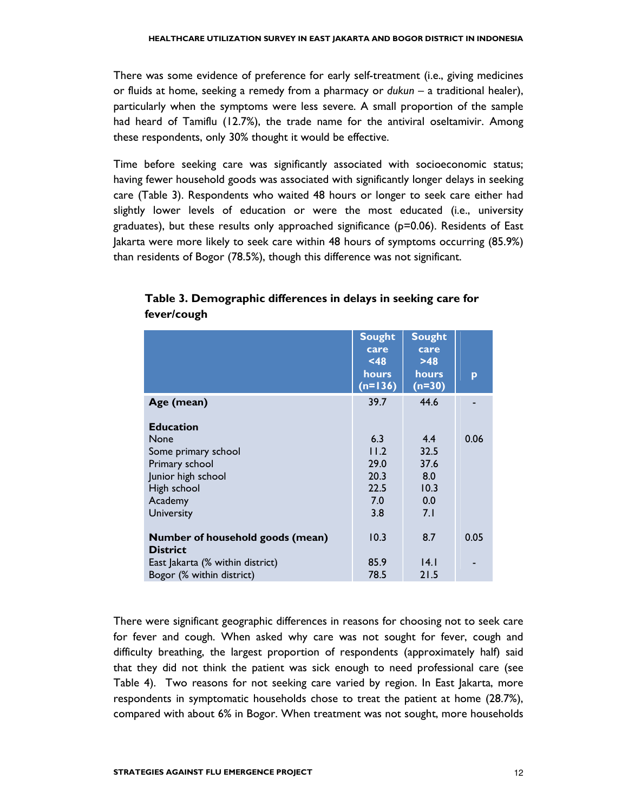There was some evidence of preference for early self-treatment (i.e., giving medicines or fluids at home, seeking a remedy from a pharmacy or dukun – a traditional healer), particularly when the symptoms were less severe. A small proportion of the sample had heard of Tamiflu (12.7%), the trade name for the antiviral oseltamivir. Among these respondents, only 30% thought it would be effective.

Time before seeking care was significantly associated with socioeconomic status; having fewer household goods was associated with significantly longer delays in seeking care (Table 3). Respondents who waited 48 hours or longer to seek care either had slightly lower levels of education or were the most educated (i.e., university graduates), but these results only approached significance  $(p=0.06)$ . Residents of East Jakarta were more likely to seek care within 48 hours of symptoms occurring (85.9%) than residents of Bogor (78.5%), though this difference was not significant.

|                                                     | <b>Sought</b><br>care<br>$48$<br>hours<br>$(n=136)$ | <b>Sought</b><br>care<br>>48<br>hours<br>$(n=30)$ | p    |
|-----------------------------------------------------|-----------------------------------------------------|---------------------------------------------------|------|
| Age (mean)                                          | 39.7                                                | 44.6                                              |      |
| <b>Education</b>                                    |                                                     |                                                   |      |
| <b>None</b>                                         | 6.3                                                 | 4.4                                               | 0.06 |
| Some primary school                                 | 11.2                                                | 32.5                                              |      |
| Primary school                                      | 29.0                                                | 37.6                                              |      |
| Junior high school                                  | 20.3                                                | 8.0                                               |      |
| High school                                         | 22.5                                                | 10.3                                              |      |
| Academy                                             | 7.0                                                 | 0.0                                               |      |
| <b>University</b>                                   | 3.8                                                 | 7.1                                               |      |
| Number of household goods (mean)<br><b>District</b> | 10.3                                                | 8.7                                               | 0.05 |
| East Jakarta (% within district)                    | 85.9                                                | 4.1                                               |      |
| Bogor (% within district)                           | 78.5                                                | 21.5                                              |      |

Table 3. Demographic differences in delays in seeking care for fever/cough

There were significant geographic differences in reasons for choosing not to seek care for fever and cough. When asked why care was not sought for fever, cough and difficulty breathing, the largest proportion of respondents (approximately half) said that they did not think the patient was sick enough to need professional care (see Table 4). Two reasons for not seeking care varied by region. In East Jakarta, more respondents in symptomatic households chose to treat the patient at home (28.7%), compared with about 6% in Bogor. When treatment was not sought, more households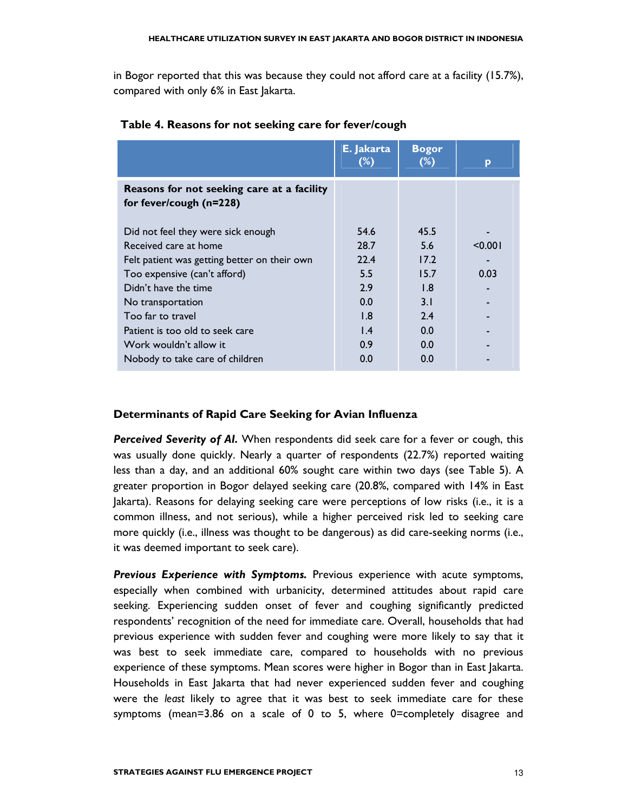in Bogor reported that this was because they could not afford care at a facility (15.7%), compared with only 6% in East Jakarta.

|                                                                       | E. Jakarta<br>$(\%)$ | <b>Bogor</b><br>$(\%)$ | p       |
|-----------------------------------------------------------------------|----------------------|------------------------|---------|
| Reasons for not seeking care at a facility<br>for fever/cough (n=228) |                      |                        |         |
| Did not feel they were sick enough                                    | 54.6                 | 45.5                   |         |
| Received care at home                                                 | 28.7                 | 5.6                    | < 0.001 |
| Felt patient was getting better on their own                          | 22.4                 | 17.2                   |         |
| Too expensive (can't afford)                                          | 5.5                  | 15.7                   | 0.03    |
| Didn't have the time                                                  | 2.9                  | 1.8                    |         |
| No transportation                                                     | 0.0                  | 3.1                    |         |
| Too far to travel                                                     | 1.8                  | 2.4                    |         |
| Patient is too old to seek care                                       | $\mathsf{I}$ .4      | 0.0                    |         |
| Work wouldn't allow it                                                | 0.9                  | 0.0                    |         |
| Nobody to take care of children                                       | 0.0                  | 0.0                    |         |

#### Table 4. Reasons for not seeking care for fever/cough

#### Determinants of Rapid Care Seeking for Avian Influenza

Perceived Severity of AI. When respondents did seek care for a fever or cough, this was usually done quickly. Nearly a quarter of respondents (22.7%) reported waiting less than a day, and an additional 60% sought care within two days (see Table 5). A greater proportion in Bogor delayed seeking care (20.8%, compared with 14% in East Jakarta). Reasons for delaying seeking care were perceptions of low risks (i.e., it is a common illness, and not serious), while a higher perceived risk led to seeking care more quickly (i.e., illness was thought to be dangerous) as did care-seeking norms (i.e., it was deemed important to seek care).

Previous Experience with Symptoms. Previous experience with acute symptoms, especially when combined with urbanicity, determined attitudes about rapid care seeking. Experiencing sudden onset of fever and coughing significantly predicted respondents' recognition of the need for immediate care. Overall, households that had previous experience with sudden fever and coughing were more likely to say that it was best to seek immediate care, compared to households with no previous experience of these symptoms. Mean scores were higher in Bogor than in East Jakarta. Households in East Jakarta that had never experienced sudden fever and coughing were the least likely to agree that it was best to seek immediate care for these symptoms (mean=3.86 on a scale of 0 to 5, where 0=completely disagree and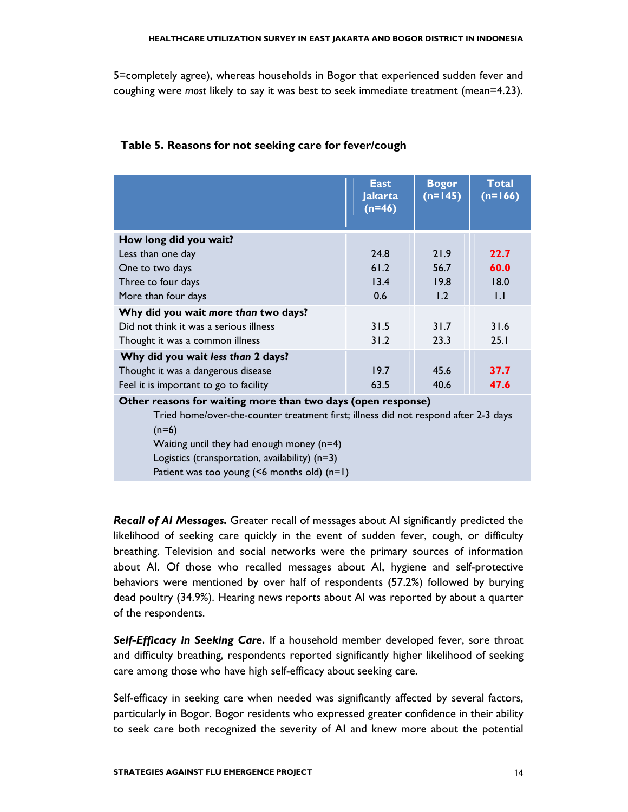5=completely agree), whereas households in Bogor that experienced sudden fever and coughing were most likely to say it was best to seek immediate treatment (mean=4.23).

|                                                                                                | <b>East</b><br><b>Jakarta</b><br>$(n=46)$ | <b>Bogor</b><br>$(n=145)$ | <b>Total</b><br>$(n=166)$ |  |
|------------------------------------------------------------------------------------------------|-------------------------------------------|---------------------------|---------------------------|--|
| How long did you wait?                                                                         |                                           |                           |                           |  |
| Less than one day                                                                              | 24.8                                      | 21.9                      | 22.7                      |  |
| One to two days                                                                                | 61.2                                      | 56.7                      | 60.0                      |  |
| Three to four days                                                                             | 13.4                                      | 19.8                      | 18.0                      |  |
| More than four days                                                                            | 0.6                                       | 1.2                       | 1.1                       |  |
| Why did you wait more than two days?                                                           |                                           |                           |                           |  |
| Did not think it was a serious illness                                                         | 31.5                                      | 31.7                      | 31.6                      |  |
| Thought it was a common illness                                                                | 31.2                                      | 23.3                      | 25.1                      |  |
| Why did you wait less than 2 days?                                                             |                                           |                           |                           |  |
| Thought it was a dangerous disease                                                             | 19.7                                      | 45.6                      | 37.7                      |  |
| Feel it is important to go to facility                                                         | 63.5                                      | 40.6                      | 47.6                      |  |
| Other reasons for waiting more than two days (open response)                                   |                                           |                           |                           |  |
| Tried home/over-the-counter treatment first; illness did not respond after 2-3 days<br>$(n=6)$ |                                           |                           |                           |  |
| Waiting until they had enough money $(n=4)$                                                    |                                           |                           |                           |  |

#### Table 5. Reasons for not seeking care for fever/cough

Logistics (transportation, availability) (n=3) Patient was too young (<6 months old) (n=1)

Recall of AI Messages. Greater recall of messages about AI significantly predicted the likelihood of seeking care quickly in the event of sudden fever, cough, or difficulty breathing. Television and social networks were the primary sources of information about AI. Of those who recalled messages about AI, hygiene and self-protective behaviors were mentioned by over half of respondents (57.2%) followed by burying dead poultry (34.9%). Hearing news reports about AI was reported by about a quarter of the respondents.

Self-Efficacy in Seeking Care. If a household member developed fever, sore throat and difficulty breathing, respondents reported significantly higher likelihood of seeking care among those who have high self-efficacy about seeking care.

Self-efficacy in seeking care when needed was significantly affected by several factors, particularly in Bogor. Bogor residents who expressed greater confidence in their ability to seek care both recognized the severity of AI and knew more about the potential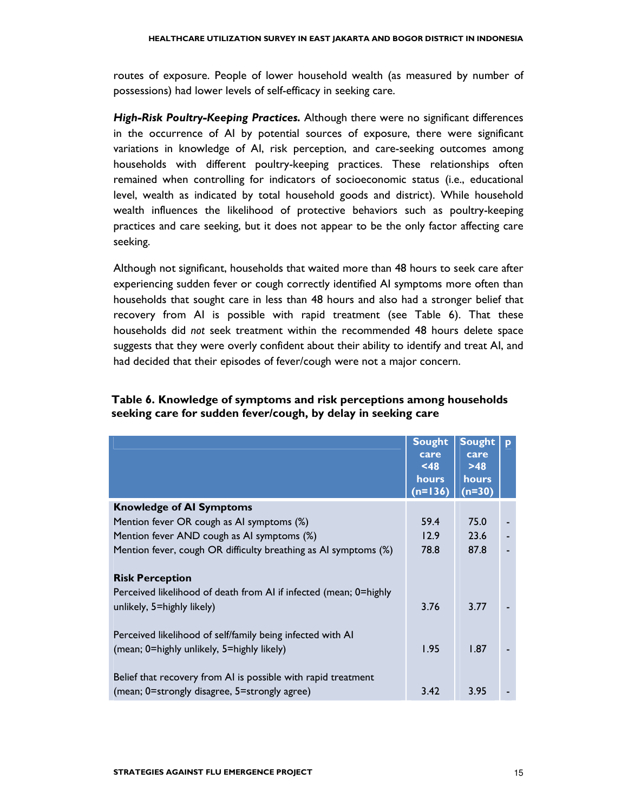routes of exposure. People of lower household wealth (as measured by number of possessions) had lower levels of self-efficacy in seeking care.

High-Risk Poultry-Keeping Practices. Although there were no significant differences in the occurrence of AI by potential sources of exposure, there were significant variations in knowledge of AI, risk perception, and care-seeking outcomes among households with different poultry-keeping practices. These relationships often remained when controlling for indicators of socioeconomic status (i.e., educational level, wealth as indicated by total household goods and district). While household wealth influences the likelihood of protective behaviors such as poultry-keeping practices and care seeking, but it does not appear to be the only factor affecting care seeking.

Although not significant, households that waited more than 48 hours to seek care after experiencing sudden fever or cough correctly identified AI symptoms more often than households that sought care in less than 48 hours and also had a stronger belief that recovery from AI is possible with rapid treatment (see Table 6). That these households did not seek treatment within the recommended 48 hours delete space suggests that they were overly confident about their ability to identify and treat AI, and had decided that their episodes of fever/cough were not a major concern.

#### Table 6. Knowledge of symptoms and risk perceptions among households seeking care for sudden fever/cough, by delay in seeking care

|                                                                                                 | <b>Sought</b><br>care<br>$<$ 48<br>hours<br>$(n=136)$ | <b>Sought</b><br>care<br>$>48$<br><b>hours</b><br>$(n=30)$ | D |
|-------------------------------------------------------------------------------------------------|-------------------------------------------------------|------------------------------------------------------------|---|
| <b>Knowledge of AI Symptoms</b>                                                                 |                                                       |                                                            |   |
| Mention fever OR cough as AI symptoms (%)                                                       | 59.4                                                  | 75.0                                                       |   |
| Mention fever AND cough as AI symptoms (%)                                                      | 12.9                                                  | 23.6                                                       |   |
| Mention fever, cough OR difficulty breathing as AI symptoms (%)                                 | 78.8                                                  | 87.8                                                       |   |
| <b>Risk Perception</b>                                                                          |                                                       |                                                            |   |
| Perceived likelihood of death from AI if infected (mean; 0=highly<br>unlikely, 5=highly likely) | 3.76                                                  | 3.77                                                       |   |
| Perceived likelihood of self/family being infected with AI                                      |                                                       |                                                            |   |
| (mean; 0=highly unlikely, 5=highly likely)                                                      | 1.95                                                  | 1.87                                                       |   |
| Belief that recovery from AI is possible with rapid treatment                                   |                                                       |                                                            |   |
| (mean; 0=strongly disagree, 5=strongly agree)                                                   | 3.42                                                  | 3.95                                                       |   |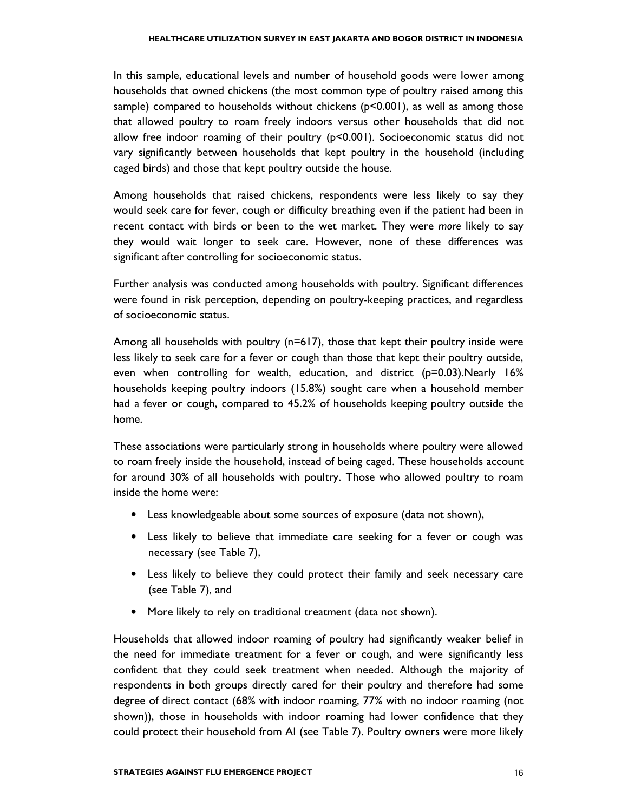In this sample, educational levels and number of household goods were lower among households that owned chickens (the most common type of poultry raised among this sample) compared to households without chickens (p<0.001), as well as among those that allowed poultry to roam freely indoors versus other households that did not allow free indoor roaming of their poultry  $(p<0.001)$ . Socioeconomic status did not vary significantly between households that kept poultry in the household (including caged birds) and those that kept poultry outside the house.

Among households that raised chickens, respondents were less likely to say they would seek care for fever, cough or difficulty breathing even if the patient had been in recent contact with birds or been to the wet market. They were more likely to say they would wait longer to seek care. However, none of these differences was significant after controlling for socioeconomic status.

Further analysis was conducted among households with poultry. Significant differences were found in risk perception, depending on poultry-keeping practices, and regardless of socioeconomic status.

Among all households with poultry (n=617), those that kept their poultry inside were less likely to seek care for a fever or cough than those that kept their poultry outside, even when controlling for wealth, education, and district (p=0.03).Nearly 16% households keeping poultry indoors (15.8%) sought care when a household member had a fever or cough, compared to 45.2% of households keeping poultry outside the home.

These associations were particularly strong in households where poultry were allowed to roam freely inside the household, instead of being caged. These households account for around 30% of all households with poultry. Those who allowed poultry to roam inside the home were:

- Less knowledgeable about some sources of exposure (data not shown),
- Less likely to believe that immediate care seeking for a fever or cough was necessary (see Table 7),
- Less likely to believe they could protect their family and seek necessary care (see Table 7), and
- More likely to rely on traditional treatment (data not shown).

Households that allowed indoor roaming of poultry had significantly weaker belief in the need for immediate treatment for a fever or cough, and were significantly less confident that they could seek treatment when needed. Although the majority of respondents in both groups directly cared for their poultry and therefore had some degree of direct contact (68% with indoor roaming, 77% with no indoor roaming (not shown)), those in households with indoor roaming had lower confidence that they could protect their household from AI (see Table 7). Poultry owners were more likely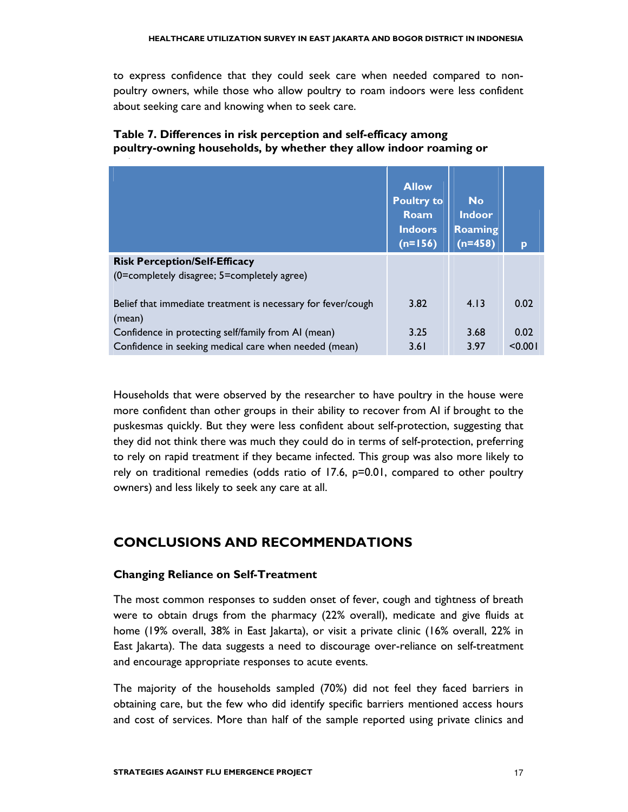to express confidence that they could seek care when needed compared to nonpoultry owners, while those who allow poultry to roam indoors were less confident about seeking care and knowing when to seek care.

#### Table 7. Differences in risk perception and self-efficacy among poultry-owning households, by whether they allow indoor roaming or

|                                                                                                              | <b>Allow</b><br><b>Poultry to</b><br><b>Roam</b><br><b>Indoors</b><br>$(n=156)$ | <b>No</b><br><b>Indoor</b><br><b>Roaming</b><br>$(n=458)$ | p               |
|--------------------------------------------------------------------------------------------------------------|---------------------------------------------------------------------------------|-----------------------------------------------------------|-----------------|
| <b>Risk Perception/Self-Efficacy</b><br>(0=completely disagree; 5=completely agree)                          |                                                                                 |                                                           |                 |
| Belief that immediate treatment is necessary for fever/cough<br>(mean)                                       | 3.82                                                                            | 4.13                                                      | 0.02            |
| Confidence in protecting self/family from AI (mean)<br>Confidence in seeking medical care when needed (mean) | 3.25<br>3.61                                                                    | 3.68<br>3.97                                              | 0.02<br>< 0.001 |

Households that were observed by the researcher to have poultry in the house were more confident than other groups in their ability to recover from AI if brought to the puskesmas quickly. But they were less confident about self-protection, suggesting that they did not think there was much they could do in terms of self-protection, preferring to rely on rapid treatment if they became infected. This group was also more likely to rely on traditional remedies (odds ratio of 17.6, p=0.01, compared to other poultry owners) and less likely to seek any care at all.

# CONCLUSIONS AND RECOMMENDATIONS

#### Changing Reliance on Self-Treatment

The most common responses to sudden onset of fever, cough and tightness of breath were to obtain drugs from the pharmacy (22% overall), medicate and give fluids at home (19% overall, 38% in East Jakarta), or visit a private clinic (16% overall, 22% in East Jakarta). The data suggests a need to discourage over-reliance on self-treatment and encourage appropriate responses to acute events.

The majority of the households sampled (70%) did not feel they faced barriers in obtaining care, but the few who did identify specific barriers mentioned access hours and cost of services. More than half of the sample reported using private clinics and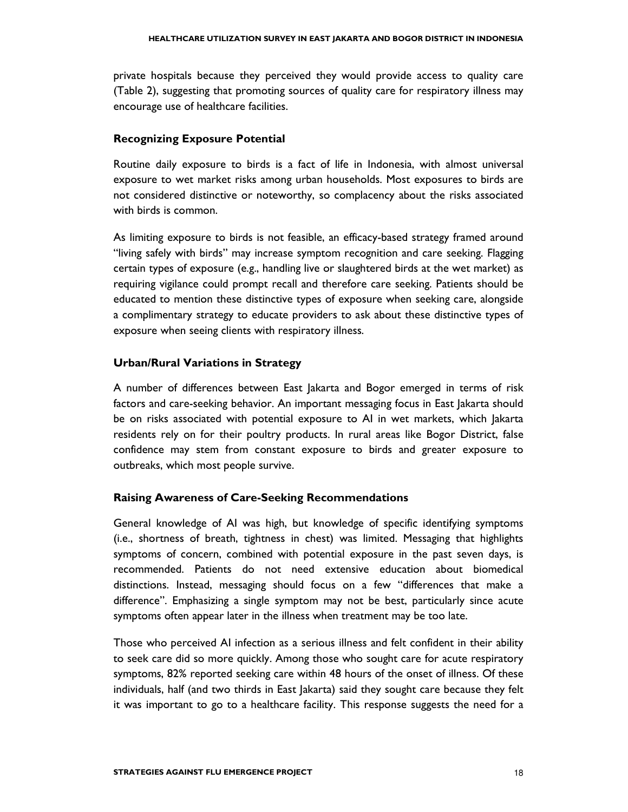private hospitals because they perceived they would provide access to quality care (Table 2), suggesting that promoting sources of quality care for respiratory illness may encourage use of healthcare facilities.

#### Recognizing Exposure Potential

Routine daily exposure to birds is a fact of life in Indonesia, with almost universal exposure to wet market risks among urban households. Most exposures to birds are not considered distinctive or noteworthy, so complacency about the risks associated with birds is common.

As limiting exposure to birds is not feasible, an efficacy-based strategy framed around "living safely with birds" may increase symptom recognition and care seeking. Flagging certain types of exposure (e.g., handling live or slaughtered birds at the wet market) as requiring vigilance could prompt recall and therefore care seeking. Patients should be educated to mention these distinctive types of exposure when seeking care, alongside a complimentary strategy to educate providers to ask about these distinctive types of exposure when seeing clients with respiratory illness.

#### Urban/Rural Variations in Strategy

A number of differences between East Jakarta and Bogor emerged in terms of risk factors and care-seeking behavior. An important messaging focus in East Jakarta should be on risks associated with potential exposure to AI in wet markets, which Jakarta residents rely on for their poultry products. In rural areas like Bogor District, false confidence may stem from constant exposure to birds and greater exposure to outbreaks, which most people survive.

#### Raising Awareness of Care-Seeking Recommendations

General knowledge of AI was high, but knowledge of specific identifying symptoms (i.e., shortness of breath, tightness in chest) was limited. Messaging that highlights symptoms of concern, combined with potential exposure in the past seven days, is recommended. Patients do not need extensive education about biomedical distinctions. Instead, messaging should focus on a few "differences that make a difference". Emphasizing a single symptom may not be best, particularly since acute symptoms often appear later in the illness when treatment may be too late.

Those who perceived AI infection as a serious illness and felt confident in their ability to seek care did so more quickly. Among those who sought care for acute respiratory symptoms, 82% reported seeking care within 48 hours of the onset of illness. Of these individuals, half (and two thirds in East Jakarta) said they sought care because they felt it was important to go to a healthcare facility. This response suggests the need for a